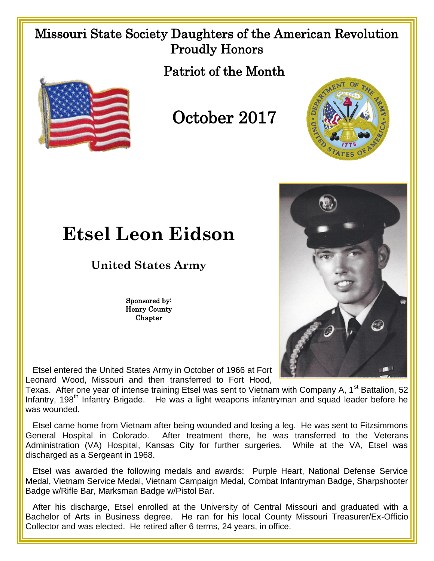## Missouri State Society Daughters of the American Revolution Proudly Honors

Patriot of the Month



## October 2017





## **Etsel Leon Eidson**

## **United States Army**

Sponsored by: Henry County **Chapter** 

 Etsel entered the United States Army in October of 1966 at Fort Leonard Wood, Missouri and then transferred to Fort Hood,

Texas. After one year of intense training Etsel was sent to Vietnam with Company A, 1<sup>st</sup> Battalion, 52 Infantry, 198<sup>th</sup> Infantry Brigade. He was a light weapons infantryman and squad leader before he was wounded.

 Etsel came home from Vietnam after being wounded and losing a leg. He was sent to Fitzsimmons General Hospital in Colorado. After treatment there, he was transferred to the Veterans Administration (VA) Hospital, Kansas City for further surgeries. While at the VA, Etsel was discharged as a Sergeant in 1968.

 Etsel was awarded the following medals and awards: Purple Heart, National Defense Service Medal, Vietnam Service Medal, Vietnam Campaign Medal, Combat Infantryman Badge, Sharpshooter Badge w/Rifle Bar, Marksman Badge w/Pistol Bar.

 After his discharge, Etsel enrolled at the University of Central Missouri and graduated with a Bachelor of Arts in Business degree. He ran for his local County Missouri Treasurer/Ex-Officio Collector and was elected. He retired after 6 terms, 24 years, in office.